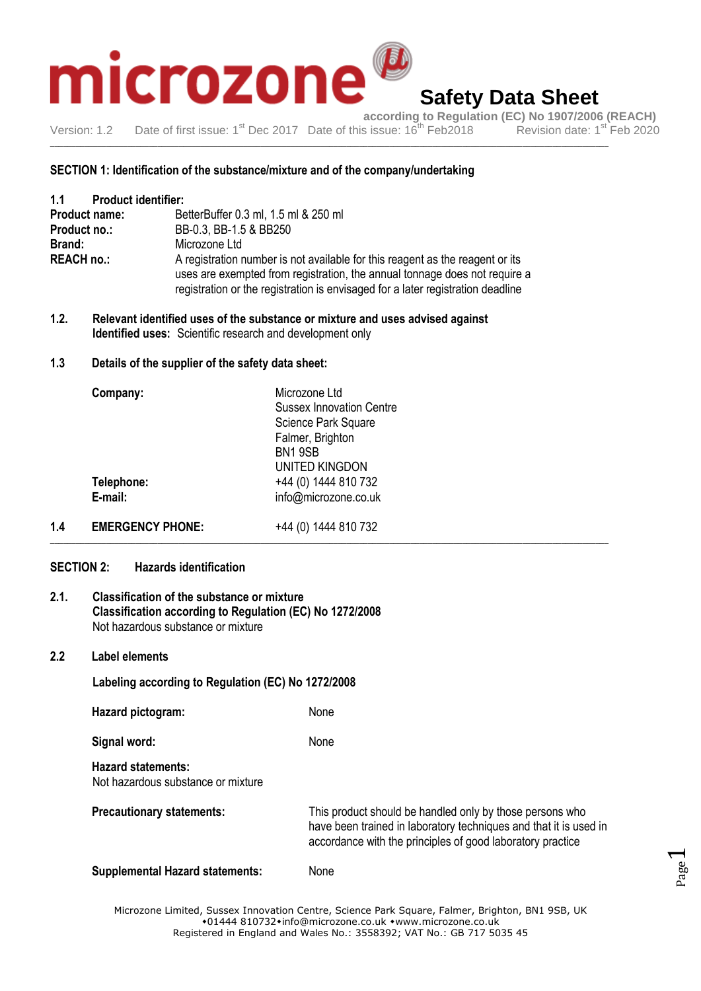

**according to Regulation (EC) No 1907/2006 (REACH)**<br>s issue: 16<sup>th</sup> Feb2018 Revision date: 1<sup>st</sup> Feb 2020 Version: 1.2 Date of first issue: 1<sup>st</sup> Dec 2017 Date of this issue: 16<sup>th</sup> Feb 2018

\_\_\_\_\_\_\_\_\_\_\_\_\_\_\_\_\_\_\_\_\_\_\_\_\_\_\_\_\_\_\_\_\_\_\_\_\_\_\_\_\_\_\_\_\_\_\_\_\_\_\_\_\_\_\_\_\_\_\_\_\_\_\_\_\_\_\_\_\_\_\_\_\_\_\_\_\_\_\_\_\_\_\_\_\_\_\_\_\_\_\_\_\_\_\_\_\_\_\_\_\_\_\_\_\_\_\_\_\_\_\_\_\_\_\_\_\_\_\_\_\_\_\_\_\_\_\_\_\_\_

### **SECTION 1: Identification of the substance/mixture and of the company/undertaking**

| 1.1<br><b>Product identifier:</b> |                                                                                                                                                                                                                                                |  |  |
|-----------------------------------|------------------------------------------------------------------------------------------------------------------------------------------------------------------------------------------------------------------------------------------------|--|--|
| <b>Product name:</b>              | BetterBuffer 0.3 ml, 1.5 ml & 250 ml                                                                                                                                                                                                           |  |  |
| Product no.:                      | BB-0.3, BB-1.5 & BB250                                                                                                                                                                                                                         |  |  |
| Brand:                            | Microzone Ltd                                                                                                                                                                                                                                  |  |  |
| <b>REACH no.:</b>                 | A registration number is not available for this reagent as the reagent or its<br>uses are exempted from registration, the annual tonnage does not require a<br>registration or the registration is envisaged for a later registration deadline |  |  |

**1.2. Relevant identified uses of the substance or mixture and uses advised against Identified uses:** Scientific research and development only

### **1.3 Details of the supplier of the safety data sheet:**

| Company:   | Microzone Ltd<br><b>Sussex Innovation Centre</b> |  |
|------------|--------------------------------------------------|--|
|            | Science Park Square                              |  |
|            | Falmer, Brighton<br>BN19SB                       |  |
|            | <b>UNITED KINGDON</b>                            |  |
| Telephone: | +44 (0) 1444 810 732                             |  |
| E-mail:    | info@microzone.co.uk                             |  |
|            |                                                  |  |

**1.4 EMERGENCY PHONE:** +44 (0) 1444 810 732 \_\_\_\_\_\_\_\_\_\_\_\_\_\_\_\_\_\_\_\_\_\_\_\_\_\_\_\_\_\_\_\_\_\_\_\_\_\_\_\_\_\_\_\_\_\_\_\_\_\_\_\_\_\_\_\_\_\_\_\_\_\_\_\_\_\_\_\_\_\_\_\_\_\_\_\_\_\_\_\_\_\_\_\_\_\_\_\_\_\_\_\_\_\_\_\_\_\_\_\_\_\_\_\_\_\_\_\_\_\_\_\_\_\_\_\_\_\_\_\_\_\_\_\_\_\_\_\_\_\_

### **SECTION 2: Hazards identification**

### **2.1. Classification of the substance or mixture Classification according to Regulation (EC) No 1272/2008** Not hazardous substance or mixture

### **2.2 Label elements**

### **Labeling according to Regulation (EC) No 1272/2008**

**Hazard pictogram:** None

Signal word: None

**Hazard statements:** Not hazardous substance or mixture

**Precautionary statements:** This product should be handled only by those persons who have been trained in laboratory techniques and that it is used in accordance with the principles of good laboratory practice **Supplemental Hazard statements:** None

Microzone Limited, Sussex Innovation Centre, Science Park Square, Falmer, Brighton, BN1 9SB, UK  $*01444810732*$ info@microzone.co.uk \*www.microzone.co.uk Registered in England and Wales No.: 3558392; VAT No.: GB 717 5035 45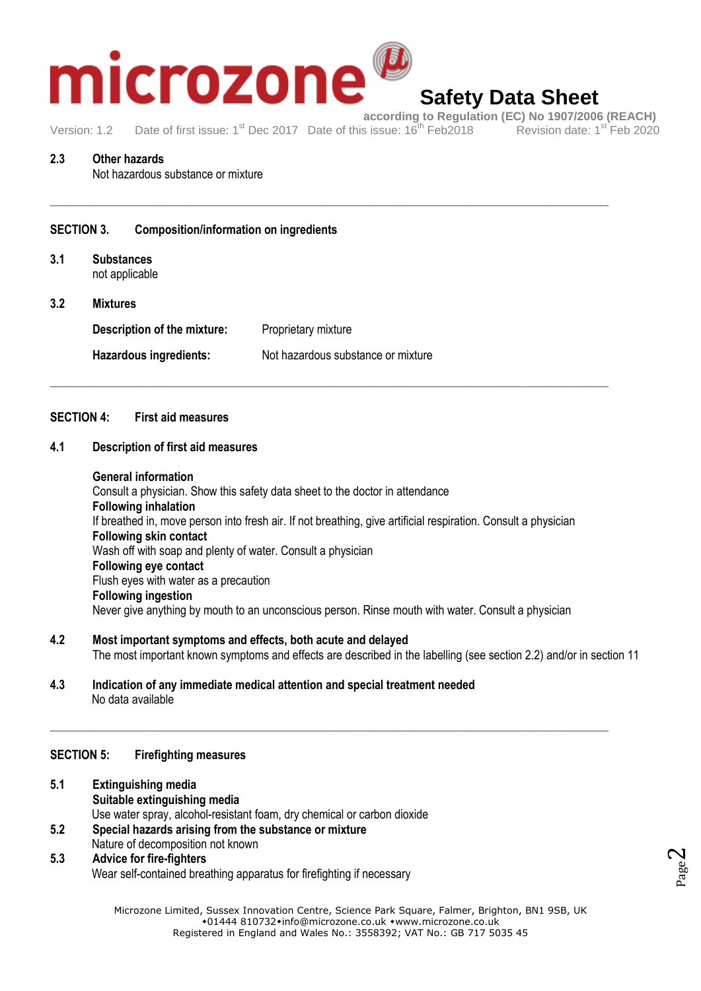

## **Safety Data Sheet**

Version: 1.2 Date of first issue: 1<sup>st</sup> Dec 2017 Date of this issue: 16<sup>th</sup> Feb 2018

\_\_\_\_\_\_\_\_\_\_\_\_\_\_\_\_\_\_\_\_\_\_\_\_\_\_\_\_\_\_\_\_\_\_\_\_\_\_\_\_\_\_\_\_\_\_\_\_\_\_\_\_\_\_\_\_\_\_\_\_\_\_\_\_\_\_\_\_\_\_\_\_\_\_\_\_\_\_\_\_\_\_\_\_\_\_\_\_\_\_\_\_\_\_\_\_\_\_\_\_\_\_\_\_\_\_\_\_\_\_\_\_\_\_\_\_\_\_\_\_\_\_\_\_\_\_\_\_\_\_

\_\_\_\_\_\_\_\_\_\_\_\_\_\_\_\_\_\_\_\_\_\_\_\_\_\_\_\_\_\_\_\_\_\_\_\_\_\_\_\_\_\_\_\_\_\_\_\_\_\_\_\_\_\_\_\_\_\_\_\_\_\_\_\_\_\_\_\_\_\_\_\_\_\_\_\_\_\_\_\_\_\_\_\_\_\_\_\_\_\_\_\_\_\_\_\_\_\_\_\_\_\_\_\_\_\_\_\_\_\_\_\_\_\_\_\_\_\_\_\_\_\_\_\_\_\_\_\_\_\_

### **2.3 Other hazards**

Not hazardous substance or mixture

### **SECTION 3. Composition/information on ingredients**

- **3.1 Substances** not applicable
- **3.2 Mixtures Description of the mixture:** Proprietary mixture Hazardous ingredients: Not hazardous substance or mixture

### **SECTION 4: First aid measures**

### **4.1 Description of first aid measures**

### **General information**

Consult a physician. Show this safety data sheet to the doctor in attendance **Following inhalation** If breathed in, move person into fresh air. If not breathing, give artificial respiration. Consult a physician **Following skin contact** Wash off with soap and plenty of water. Consult a physician **Following eye contact** Flush eyes with water as a precaution **Following ingestion** Never give anything by mouth to an unconscious person. Rinse mouth with water. Consult a physician

**4.2 Most important symptoms and effects, both acute and delayed** The most important known symptoms and effects are described in the labelling (see section 2.2) and/or in section 11

\_\_\_\_\_\_\_\_\_\_\_\_\_\_\_\_\_\_\_\_\_\_\_\_\_\_\_\_\_\_\_\_\_\_\_\_\_\_\_\_\_\_\_\_\_\_\_\_\_\_\_\_\_\_\_\_\_\_\_\_\_\_\_\_\_\_\_\_\_\_\_\_\_\_\_\_\_\_\_\_\_\_\_\_\_\_\_\_\_\_\_\_\_\_\_\_\_\_\_\_\_\_\_\_\_\_\_\_\_\_\_\_\_\_\_\_\_\_\_\_\_\_\_\_\_\_\_\_\_\_

**4.3 Indication of any immediate medical attention and special treatment needed** No data available

### **SECTION 5: Firefighting measures**

- **5.1 Extinguishing media Suitable extinguishing media** Use water spray, alcohol-resistant foam, dry chemical or carbon dioxide **5.2 Special hazards arising from the substance or mixture**
- Nature of decomposition not known

### **5.3 Advice for fire-fighters**

Wear self-contained breathing apparatus for firefighting if necessary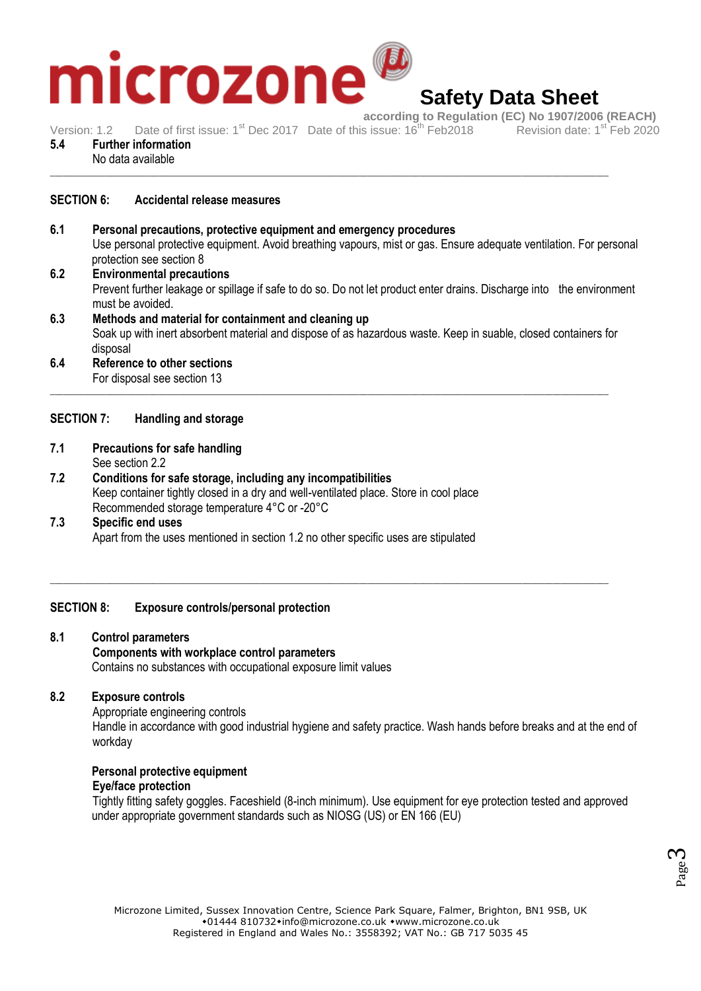

**according to Regulation (EC) No 1907/2006 (REACH)**<br>s issue: 16<sup>th</sup> Feb2018 Revision date: 1<sup>st</sup> Feb 2020 Version: 1.2 Date of first issue: 1<sup>st</sup> Dec 2017 Date of this issue: 16<sup>th</sup> Feb 2018

- **5.4 Further information**
- No data available \_\_\_\_\_\_\_\_\_\_\_\_\_\_\_\_\_\_\_\_\_\_\_\_\_\_\_\_\_\_\_\_\_\_\_\_\_\_\_\_\_\_\_\_\_\_\_\_\_\_\_\_\_\_\_\_\_\_\_\_\_\_\_\_\_\_\_\_\_\_\_\_\_\_\_\_\_\_\_\_\_\_\_\_\_\_\_\_\_\_\_\_\_\_\_\_\_\_\_\_\_\_\_\_\_\_\_\_\_\_\_\_\_\_\_\_\_\_\_\_\_\_\_\_\_\_\_\_\_\_

### **SECTION 6: Accidental release measures**

- **6.1 Personal precautions, protective equipment and emergency procedures** Use personal protective equipment. Avoid breathing vapours, mist or gas. Ensure adequate ventilation. For personal protection see section 8
- **6.2 Environmental precautions** Prevent further leakage or spillage if safe to do so. Do not let product enter drains. Discharge into the environment must be avoided. **6.3 Methods and material for containment and cleaning up**
	- Soak up with inert absorbent material and dispose of as hazardous waste. Keep in suable, closed containers for disposal

\_\_\_\_\_\_\_\_\_\_\_\_\_\_\_\_\_\_\_\_\_\_\_\_\_\_\_\_\_\_\_\_\_\_\_\_\_\_\_\_\_\_\_\_\_\_\_\_\_\_\_\_\_\_\_\_\_\_\_\_\_\_\_\_\_\_\_\_\_\_\_\_\_\_\_\_\_\_\_\_\_\_\_\_\_\_\_\_\_\_\_\_\_\_\_\_\_\_\_\_\_\_\_\_\_\_\_\_\_\_\_\_\_\_\_\_\_\_\_\_\_\_\_\_\_\_\_\_\_\_

\_\_\_\_\_\_\_\_\_\_\_\_\_\_\_\_\_\_\_\_\_\_\_\_\_\_\_\_\_\_\_\_\_\_\_\_\_\_\_\_\_\_\_\_\_\_\_\_\_\_\_\_\_\_\_\_\_\_\_\_\_\_\_\_\_\_\_\_\_\_\_\_\_\_\_\_\_\_\_\_\_\_\_\_\_\_\_\_\_\_\_\_\_\_\_\_\_\_\_\_\_\_\_\_\_\_\_\_\_\_\_\_\_\_\_\_\_\_\_\_\_\_\_\_\_\_\_\_\_\_

**6.4 Reference to other sections** For disposal see section 13

### **SECTION 7: Handling and storage**

- **7.1 Precautions for safe handling**
	- See section 2.2
- **7.2 Conditions for safe storage, including any incompatibilities** Keep container tightly closed in a dry and well-ventilated place. Store in cool place Recommended storage temperature 4°C or -20°C
- **7.3 Specific end uses** Apart from the uses mentioned in section 1.2 no other specific uses are stipulated

### **SECTION 8: Exposure controls/personal protection**

**8.1 Control parameters Components with workplace control parameters** Contains no substances with occupational exposure limit values

### **8.2 Exposure controls**

Appropriate engineering controls Handle in accordance with good industrial hygiene and safety practice. Wash hands before breaks and at the end of workday

### **Personal protective equipment**

### **Eye/face protection**

Tightly fitting safety goggles. Faceshield (8-inch minimum). Use equipment for eye protection tested and approved under appropriate government standards such as NIOSG (US) or EN 166 (EU)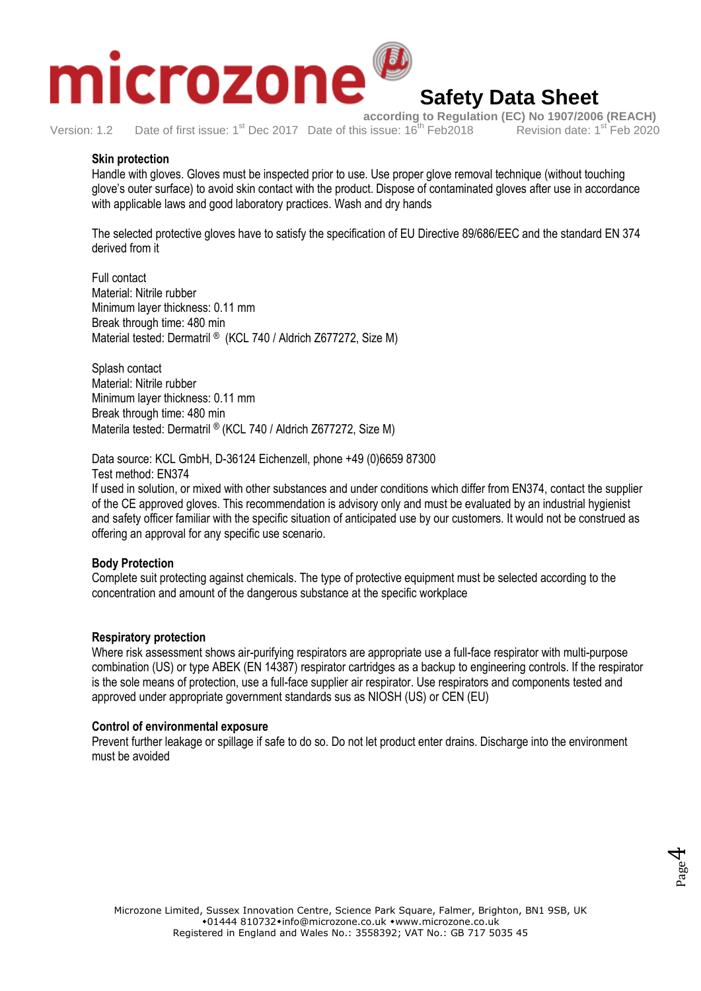

**according to Regulation (EC) No 1907/2006 (REACH)**<br>s issue: 16<sup>th</sup> Feb2018 Revision date: 1<sup>st</sup> Feb 2020 Version: 1.2 Date of first issue: 1<sup>st</sup> Dec 2017 Date of this issue: 16<sup>th</sup> Feb 2018

### **Skin protection**

Handle with gloves. Gloves must be inspected prior to use. Use proper glove removal technique (without touching glove's outer surface) to avoid skin contact with the product. Dispose of contaminated gloves after use in accordance with applicable laws and good laboratory practices. Wash and dry hands

The selected protective gloves have to satisfy the specification of EU Directive 89/686/EEC and the standard EN 374 derived from it

Full contact Material: Nitrile rubber Minimum layer thickness: 0.11 mm Break through time: 480 min Material tested: Dermatril ® (KCL 740 / Aldrich Z677272, Size M)

Splash contact Material: Nitrile rubber Minimum layer thickness: 0.11 mm Break through time: 480 min Materila tested: Dermatril ® (KCL 740 / Aldrich Z677272, Size M)

Data source: KCL GmbH, D-36124 Eichenzell, phone +49 (0)6659 87300 Test method: EN374

If used in solution, or mixed with other substances and under conditions which differ from EN374, contact the supplier of the CE approved gloves. This recommendation is advisory only and must be evaluated by an industrial hygienist and safety officer familiar with the specific situation of anticipated use by our customers. It would not be construed as offering an approval for any specific use scenario.

### **Body Protection**

Complete suit protecting against chemicals. The type of protective equipment must be selected according to the concentration and amount of the dangerous substance at the specific workplace

### **Respiratory protection**

Where risk assessment shows air-purifying respirators are appropriate use a full-face respirator with multi-purpose combination (US) or type ABEK (EN 14387) respirator cartridges as a backup to engineering controls. If the respirator is the sole means of protection, use a full-face supplier air respirator. Use respirators and components tested and approved under appropriate government standards sus as NIOSH (US) or CEN (EU)

### **Control of environmental exposure**

Prevent further leakage or spillage if safe to do so. Do not let product enter drains. Discharge into the environment must be avoided

Page 4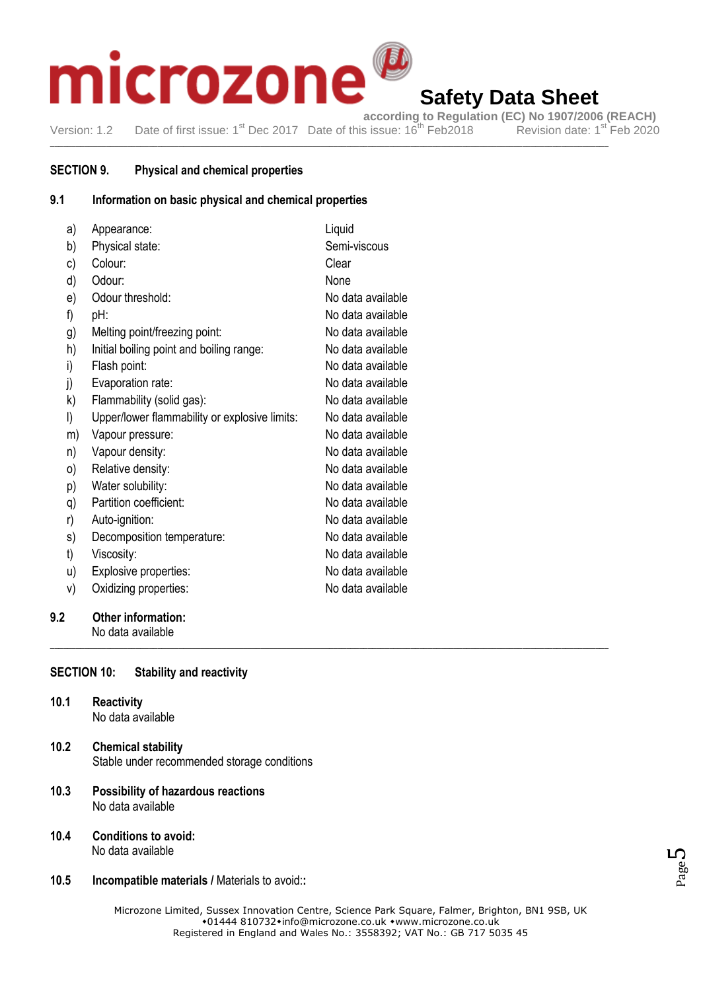# crozone m

## **Safety Data Sheet**

**according to Regulation (EC) No 1907/2006 (REACH)**  Version: 1.2 Date of first issue: 1<sup>st</sup> Dec 2017 Date of this issue: 16<sup>th</sup> Feb2018 Revision date: 1<sup>st</sup> Feb 2020

\_\_\_\_\_\_\_\_\_\_\_\_\_\_\_\_\_\_\_\_\_\_\_\_\_\_\_\_\_\_\_\_\_\_\_\_\_\_\_\_\_\_\_\_\_\_\_\_\_\_\_\_\_\_\_\_\_\_\_\_\_\_\_\_\_\_\_\_\_\_\_\_\_\_\_\_\_\_\_\_\_\_\_\_\_\_\_\_\_\_\_\_\_\_\_\_\_\_\_\_\_\_\_\_\_\_\_\_\_\_\_\_\_\_\_\_\_\_\_\_\_\_\_\_\_\_\_\_\_\_

### **SECTION 9. Physical and chemical properties**

### **9.1 Information on basic physical and chemical properties**

| a) | Appearance:                                   | Liquid            |
|----|-----------------------------------------------|-------------------|
| b) | Physical state:                               | Semi-viscous      |
| c) | Colour:                                       | Clear             |
| d) | Odour:                                        | None              |
| e) | Odour threshold:                              | No data available |
| f) | pH:                                           | No data available |
| g) | Melting point/freezing point:                 | No data available |
| h) | Initial boiling point and boiling range:      | No data available |
| i) | Flash point:                                  | No data available |
| j) | Evaporation rate:                             | No data available |
| k) | Flammability (solid gas):                     | No data available |
| I) | Upper/lower flammability or explosive limits: | No data available |
| m) | Vapour pressure:                              | No data available |
| n) | Vapour density:                               | No data available |
| 0) | Relative density:                             | No data available |
| p) | Water solubility:                             | No data available |
| q) | Partition coefficient:                        | No data available |
| r) | Auto-ignition:                                | No data available |
| s) | Decomposition temperature:                    | No data available |
| t) | Viscosity:                                    | No data available |
| u) | Explosive properties:                         | No data available |
| V) | Oxidizing properties:                         | No data available |

### **9.2 Other information:** No data available

**SECTION 10: Stability and reactivity**

- **10.1 Reactivity** No data available
- **10.2 Chemical stability** Stable under recommended storage conditions
- **10.3 Possibility of hazardous reactions** No data available
- **10.4 Conditions to avoid:** No data available
- **10.5 Incompatible materials /** Materials to avoid:**:**



\_\_\_\_\_\_\_\_\_\_\_\_\_\_\_\_\_\_\_\_\_\_\_\_\_\_\_\_\_\_\_\_\_\_\_\_\_\_\_\_\_\_\_\_\_\_\_\_\_\_\_\_\_\_\_\_\_\_\_\_\_\_\_\_\_\_\_\_\_\_\_\_\_\_\_\_\_\_\_\_\_\_\_\_\_\_\_\_\_\_\_\_\_\_\_\_\_\_\_\_\_\_\_\_\_\_\_\_\_\_\_\_\_\_\_\_\_\_\_\_\_\_\_\_\_\_\_\_\_\_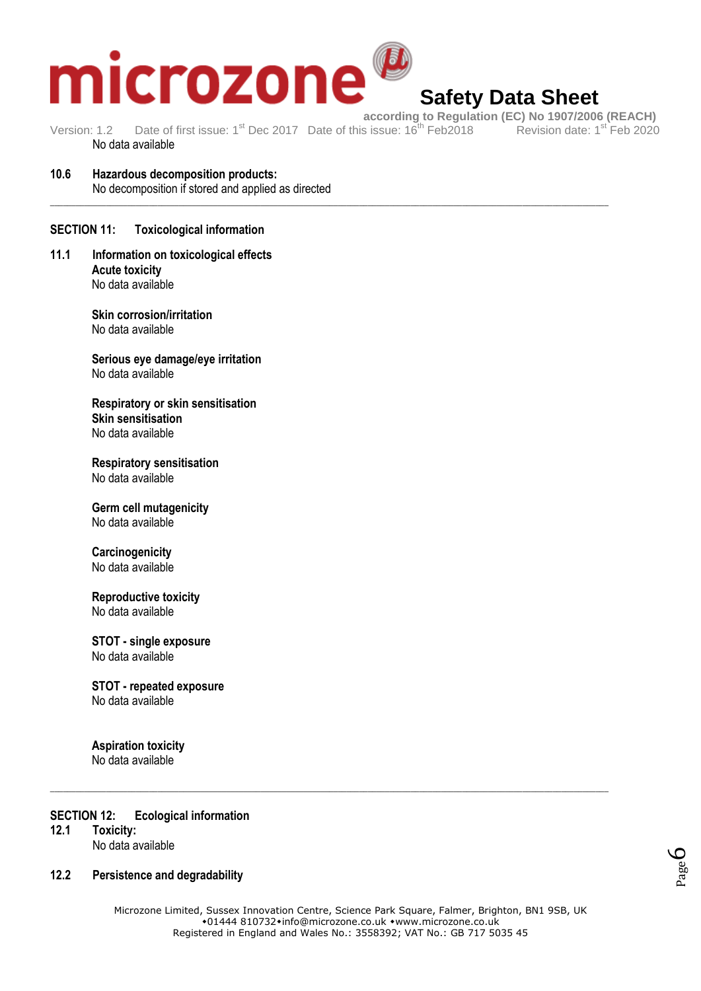

# **Safety Data Sheet**

Version: 1.2 Date of first issue: 1<sup>st</sup> Dec 2017 Date of this issue: 16<sup>th</sup> Feb 2018 No data available

\_\_\_\_\_\_\_\_\_\_\_\_\_\_\_\_\_\_\_\_\_\_\_\_\_\_\_\_\_\_\_\_\_\_\_\_\_\_\_\_\_\_\_\_\_\_\_\_\_\_\_\_\_\_\_\_\_\_\_\_\_\_\_\_\_\_\_\_\_\_\_\_\_\_\_\_\_\_\_\_\_\_\_\_\_\_\_\_\_\_\_\_\_\_\_\_\_\_\_\_\_\_\_\_\_\_\_\_\_\_\_\_\_\_\_\_\_\_\_\_\_\_\_\_\_\_\_\_\_\_

**10.6 Hazardous decomposition products:** No decomposition if stored and applied as directed

### **SECTION 11: Toxicological information**

**11.1 Information on toxicological effects Acute toxicity**  No data available

> **Skin corrosion/irritation**  No data available

**Serious eye damage/eye irritation**  No data available

**Respiratory or skin sensitisation Skin sensitisation**  No data available

**Respiratory sensitisation**  No data available

**Germ cell mutagenicity**  No data available

### **Carcinogenicity**  No data available

**Reproductive toxicity**  No data available

**STOT - single exposure**  No data available

**STOT - repeated exposure**  No data available

**Aspiration toxicity**  No data available

### **SECTION 12: Ecological information**

**12.1 Toxicity:**

No data available

### **12.2 Persistence and degradability**



Microzone Limited, Sussex Innovation Centre, Science Park Square, Falmer, Brighton, BN1 9SB, UK  $*01444810732*$ info@microzone.co.uk \*www.microzone.co.uk Registered in England and Wales No.: 3558392; VAT No.: GB 717 5035 45

\_\_\_\_\_\_\_\_\_\_\_\_\_\_\_\_\_\_\_\_\_\_\_\_\_\_\_\_\_\_\_\_\_\_\_\_\_\_\_\_\_\_\_\_\_\_\_\_\_\_\_\_\_\_\_\_\_\_\_\_\_\_\_\_\_\_\_\_\_\_\_\_\_\_\_\_\_\_\_\_\_\_\_\_\_\_\_\_\_\_\_\_\_\_\_\_\_\_\_\_\_\_\_\_\_\_\_\_\_\_\_\_\_\_\_\_\_\_\_\_\_\_\_\_\_\_\_\_\_\_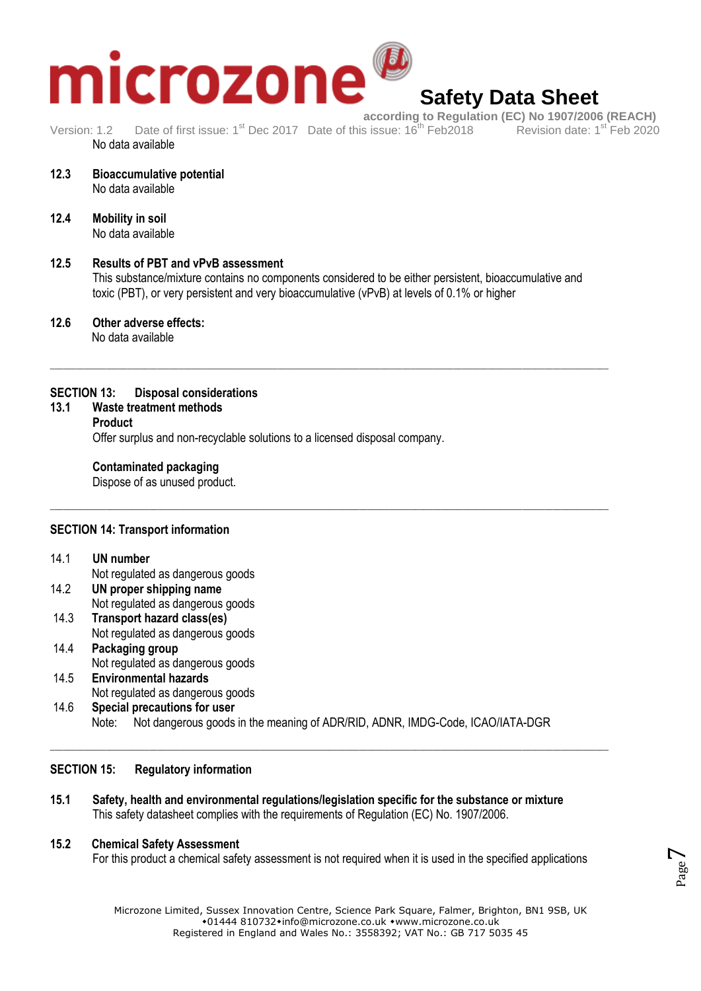# icrozone

# **Safety Data Sheet**

**according to Regulation (EC) No 1907/2006 (REACH)**<br>s issue: 16<sup>th</sup> Feb2018 Revision date: 1<sup>st</sup> Feb 2020 Version: 1.2 Date of first issue: 1<sup>st</sup> Dec 2017 Date of this issue: 16<sup>th</sup> Feb 2018 No data available

\_\_\_\_\_\_\_\_\_\_\_\_\_\_\_\_\_\_\_\_\_\_\_\_\_\_\_\_\_\_\_\_\_\_\_\_\_\_\_\_\_\_\_\_\_\_\_\_\_\_\_\_\_\_\_\_\_\_\_\_\_\_\_\_\_\_\_\_\_\_\_\_\_\_\_\_\_\_\_\_\_\_\_\_\_\_\_\_\_\_\_\_\_\_\_\_\_\_\_\_\_\_\_\_\_\_\_\_\_\_\_\_\_\_\_\_\_\_\_\_\_\_\_\_\_\_\_\_\_\_

\_\_\_\_\_\_\_\_\_\_\_\_\_\_\_\_\_\_\_\_\_\_\_\_\_\_\_\_\_\_\_\_\_\_\_\_\_\_\_\_\_\_\_\_\_\_\_\_\_\_\_\_\_\_\_\_\_\_\_\_\_\_\_\_\_\_\_\_\_\_\_\_\_\_\_\_\_\_\_\_\_\_\_\_\_\_\_\_\_\_\_\_\_\_\_\_\_\_\_\_\_\_\_\_\_\_\_\_\_\_\_\_\_\_\_\_\_\_\_\_\_\_\_\_\_\_\_\_\_\_

- **12.3 Bioaccumulative potential** No data available
- **12.4 Mobility in soil** No data available

### **12.5 Results of PBT and vPvB assessment** This substance/mixture contains no components considered to be either persistent, bioaccumulative and toxic (PBT), or very persistent and very bioaccumulative (vPvB) at levels of 0.1% or higher

**12.6 Other adverse effects:** No data available

### **SECTION 13: Disposal considerations**

**13.1 Waste treatment methods**

### **Product**

Offer surplus and non-recyclable solutions to a licensed disposal company.

### **Contaminated packaging**

Dispose of as unused product.

### **SECTION 14: Transport information**

- 14.1 **UN number**
- Not regulated as dangerous goods 14.2 **UN proper shipping name** Not regulated as dangerous goods
- 14.3 **Transport hazard class(es)** Not regulated as dangerous goods
- 14.4 **Packaging group** Not regulated as dangerous goods 14.5 **Environmental hazards**
- Not regulated as dangerous goods 14.6 **Special precautions for user**
	- Note: Not dangerous goods in the meaning of ADR/RID, ADNR, IMDG-Code, ICAO/IATA-DGR

\_\_\_\_\_\_\_\_\_\_\_\_\_\_\_\_\_\_\_\_\_\_\_\_\_\_\_\_\_\_\_\_\_\_\_\_\_\_\_\_\_\_\_\_\_\_\_\_\_\_\_\_\_\_\_\_\_\_\_\_\_\_\_\_\_\_\_\_\_\_\_\_\_\_\_\_\_\_\_\_\_\_\_\_\_\_\_\_\_\_\_\_\_\_\_\_\_\_\_\_\_\_\_\_\_\_\_\_\_\_\_\_\_\_\_\_\_\_\_\_\_\_\_\_\_\_\_\_\_\_

### **SECTION 15: Regulatory information**

**15.1 Safety, health and environmental regulations/legislation specific for the substance or mixture** This safety datasheet complies with the requirements of Regulation (EC) No. 1907/2006.

### **15.2 Chemical Safety Assessment**

For this product a chemical safety assessment is not required when it is used in the specified applications